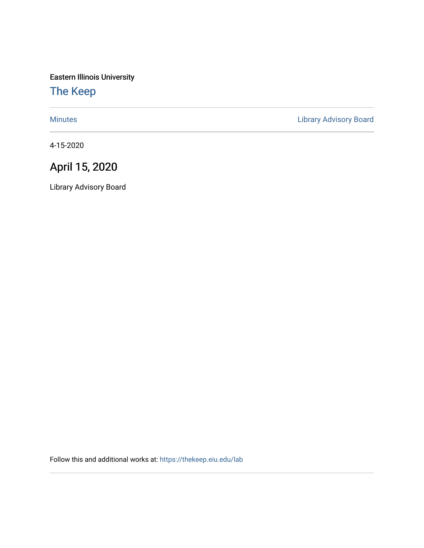Eastern Illinois University

## [The Keep](https://thekeep.eiu.edu/)

[Minutes](https://thekeep.eiu.edu/lab) **Minutes Library Advisory Board** 

4-15-2020

# April 15, 2020

Library Advisory Board

Follow this and additional works at: [https://thekeep.eiu.edu/lab](https://thekeep.eiu.edu/lab?utm_source=thekeep.eiu.edu%2Flab%2F212&utm_medium=PDF&utm_campaign=PDFCoverPages)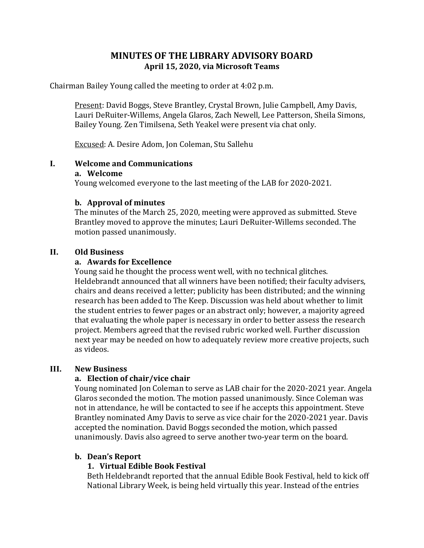### **MINUTES OF THE LIBRARY ADVISORY BOARD April 15, 2020, via Microsoft Teams**

Chairman Bailey Young called the meeting to order at 4:02 p.m.

Present: David Boggs, Steve Brantley, Crystal Brown, Julie Campbell, Amy Davis, Lauri DeRuiter-Willems, Angela Glaros, Zach Newell, Lee Patterson, Sheila Simons, Bailey Young. Zen Timilsena, Seth Yeakel were present via chat only.

Excused: A. Desire Adom, Jon Coleman, Stu Sallehu

#### **I. Welcome and Communications**

#### **a. Welcome**

Young welcomed everyone to the last meeting of the LAB for 2020-2021.

#### **b. Approval of minutes**

The minutes of the March 25, 2020, meeting were approved as submitted. Steve Brantley moved to approve the minutes; Lauri DeRuiter-Willems seconded. The motion passed unanimously.

#### **II. Old Business**

#### **a. Awards for Excellence**

Young said he thought the process went well, with no technical glitches. Heldebrandt announced that all winners have been notified; their faculty advisers, chairs and deans received a letter; publicity has been distributed; and the winning research has been added to The Keep. Discussion was held about whether to limit the student entries to fewer pages or an abstract only; however, a majority agreed that evaluating the whole paper is necessary in order to better assess the research project. Members agreed that the revised rubric worked well. Further discussion next year may be needed on how to adequately review more creative projects, such as videos.

#### **III. New Business**

#### **a. Election of chair/vice chair**

Young nominated Jon Coleman to serve as LAB chair for the 2020-2021 year. Angela Glaros seconded the motion. The motion passed unanimously. Since Coleman was not in attendance, he will be contacted to see if he accepts this appointment. Steve Brantley nominated Amy Davis to serve as vice chair for the 2020-2021 year. Davis accepted the nomination. David Boggs seconded the motion, which passed unanimously. Davis also agreed to serve another two-year term on the board.

#### **b. Dean's Report**

#### **1. Virtual Edible Book Festival**

Beth Heldebrandt reported that the annual Edible Book Festival, held to kick off National Library Week, is being held virtually this year. Instead of the entries